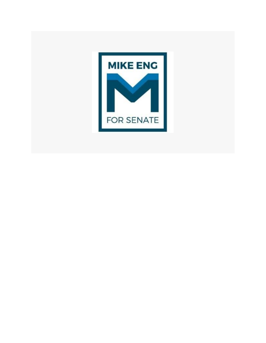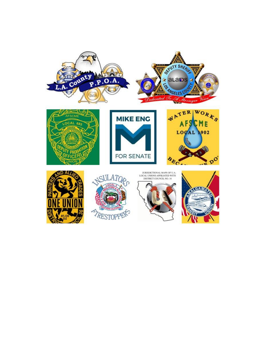

RESTOPPER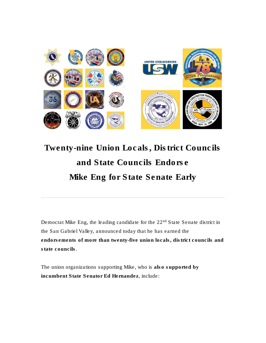

## Twenty-nine Union Locals, District Councils and State Councils Endorse Mike Eng for State Senate Early

Democrat Mike Eng, the leading candidate for the 22<sup>nd</sup> State Senate district in the San Gabriel Valley, announced today that he has earned the endorsements of more than twenty-five union locals, district councils and state councils.

The union organizations supporting Mike, who is also supported by incumbent State Senator Ed Hernandez, include: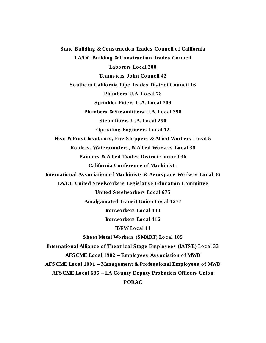State Building & Construction Trades Council of California LA/OC Building & Construction Trades Council Laborers Local 300 Teamsters Joint Council 42 Southern California Pipe Trades District Council 16 Plumbers U.A. Local 78 Sprinkler Fitters U.A. Local 709 Plumbers & Steamfitters U.A. Local 398 Steamfitters U.A. Local 250 Operating Engineers Local 12 Heat & Frost Insulators, Fire Stoppers & Allied Workers Local 5 Roofers, Waterproofers, & Allied Workers Local 36 Painters & Allied Trades District Council 36 California Conference of Machinists International Association of Machinists & Aerospace Workers Local 36 LA/OC United Steelworkers Legislative Education Committee United Steelworkers Local 675 Amalgamated Transit Union Local 1277 Ironworkers Local 433 Ironworkers Local 416 IBEW Local 11 Sheet Metal Workers (SMART) Local 105 International Alliance of Theatrical Stage Employees (IATSE) Local 33 AFSCME Local 1902 – Employees Association of MWD AFSCME Local 1001 – Management & Professional Employees of MWD AFSCME Local 685 – LA County Deputy Probation Officers Union PORAC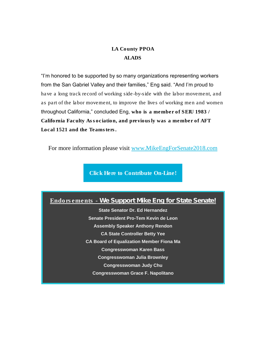## LA County PPOA ALADS

"I'm honored to be supported by so many organizations representing workers from the San Gabriel Valley and their families," Eng said. "And I'm proud to have a long track record of working side-by-side with the labor movement, and as part of the labor movement, to improve the lives of working men and women throughout California," concluded Eng, who is a member of SEIU 1983 / California Faculty Association, and previously was a member of AFT Local 1521 and the Teamsters.

For more information please visit [www.MikeEngForSenate2018.com](https://mikengfortrustee.us4.list-manage.com/track/click?u=beb4e7f4907d43392f0a6f0ee&id=cc532a384d&e=508485ecec)

[Click Here to Contribute On-Line!](https://mikengfortrustee.us4.list-manage.com/track/click?u=beb4e7f4907d43392f0a6f0ee&id=d9c3e6efb1&e=508485ecec)

## Endorsements - *We Support Mike Eng for State Senate!*

**State Senator Dr. Ed Hernandez Senate President Pro-Tem Kevin de Leon Assembly Speaker Anthony Rendon CA State Controller Betty Yee CA Board of Equalization Member Fiona Ma Congresswoman Karen Bass Congresswoman Julia Brownley Congresswoman Judy Chu Congresswoman Grace F. Napolitano**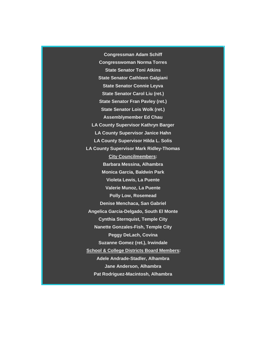**Congressman Adam Schiff Congresswoman Norma Torres State Senator Toni Atkins State Senator Cathleen Galgiani State Senator Connie Leyva State Senator Carol Liu (ret.) State Senator Fran Pavley (ret.) State Senator Lois Wolk (ret.) Assemblymember Ed Chau LA County Supervisor Kathryn Barger LA County Supervisor Janice Hahn LA County Supervisor Hilda L. Solis LA County Supervisor Mark Ridley-Thomas City Councilmembers: Barbara Messina, Alhambra Monica Garcia, Baldwin Park Violeta Lewis, La Puente Valerie Munoz, La Puente Polly Low, Rosemead Denise Menchaca, San Gabriel Angelica Garcia-Delgado, South El Monte Cynthia Sternquist, Temple City Nanette Gonzales-Fish, Temple City Peggy DeLach, Covina Suzanne Gomez (ret.), Irwindale School & College Districts Board Members: Adele Andrade-Stadler, Alhambra Jane Anderson, Alhambra Pat Rodriguez-Macintosh, Alhambra**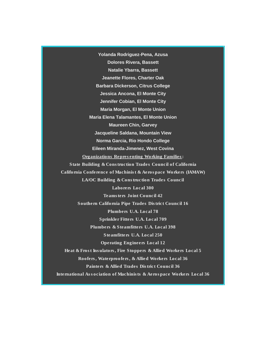**Yolanda Rodriguez-Pena, Azusa Dolores Rivera, Bassett Natalie Ybarra, Bassett Jeanette Flores, Charter Oak Barbara Dickerson, Citrus College Jessica Ancona, El Monte City Jennifer Cobian, El Monte City Maria Morgan, El Monte Union Maria Elena Talamantes, El Monte Union Maureen Chin, Garvey Jacqueline Saldana, Mountain View Norma Garcia, Rio Hondo College Eileen Miranda-Jimenez, West Covina** Organizations Representing Working Families: State Building & Construction Trades Council of California California Conference of Machinist & Aerospace Workers (IAMAW) LA/OC Building & Construction Trades Council Laborers Local 300 Teamsters Joint Council 42 Southern California Pipe Trades District Council 16 Plumbers U.A. Local 78 Sprinkler Fitters U.A. Local 709 Plumbers & Steamfitters U.A. Local 398 Steamfitters U.A. Local 250 Operating Engineers Local 12 Heat & Frost Insulators, Fire Stoppers & Allied Workers Local 5 Roofers, Waterproofers, & Allied Workers Local 36 Painters & Allied Trades District Council 36 International Association of Machinists & Aerospace Workers Local 36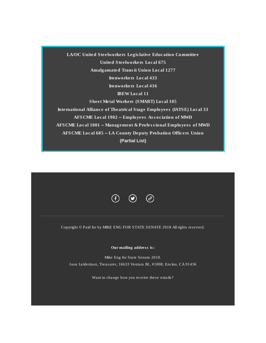LA/OC United Steelworkers Legislative Education Committee United Steelworkers Local 675 Amalgamated Transit Union Local 1277 Ironworkers Local 433 Ironworkers Local 416 IBEW Local 11 Sheet Metal Workers (SMART) Local 105 International Alliance of Theatrical Stage Employees (IATSE) Local 33 AFSCME Local 1902 – Employees Association of MWD AFSCME Local 1001 – Management & Professional Employees of MWD AFSCME Local 685 – LA County Deputy Probation Officers Union **(Partial List)**



*Copyright © Paid for by MIKE ENG FOR STATE SENATE 2018 All rights reserved.*

Our mailing address is:

Mike Eng for State Senate 2018. Jane Leiderman, Treasurer, 16633 Ventura Bl., #1008, Encino, CA 91436

Want to change how you receive these emails?